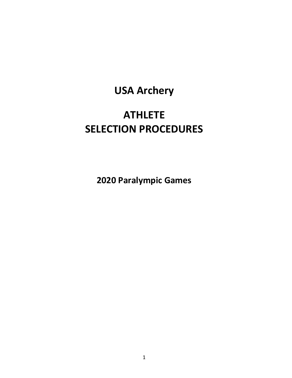# **USA Archery**

# **ATHLETE SELECTION PROCEDURES**

**2020 Paralympic Games**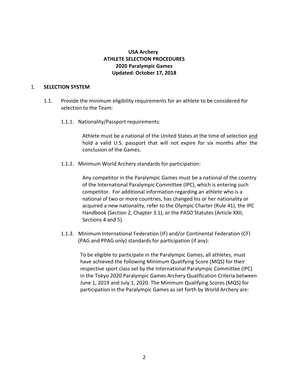## **USA Archery ATHLETE SELECTION PROCEDURES 2020 Paralympic Games Updated: October 17, 2018**

### 1. **SELECTION SYSTEM**

- 1.1. Provide the minimum eligibility requirements for an athlete to be considered for selection to the Team:
	- 1.1.1. Nationality/Passport requirements:

Athlete must be a national of the United States at the time of selection and hold a valid U.S. passport that will not expire for six months after the conclusion of the Games.

1.1.2. Minimum World Archery standards for participation:

Any competitor in the Paralympic Games must be a national of the country of the International Paralympic Committee (IPC), which is entering such competitor. For additional information regarding an athlete who is a national of two or more countries, has changed his or her nationality or acquired a new nationality, refer to the Olympic Charter (Rule 41), the IPC Handbook (Section 2, Chapter 3.1), or the PASO Statutes (Article XXII, Sections 4 and 5).

1.1.3. Minimum International Federation (IF) and/or Continental Federation (CF) (PAG and PPAG only) standards for participation (if any):

To be eligible to participate in the Paralympic Games, all athletes, must have achieved the following Minimum Qualifying Score (MQS) for their respective sport class set by the International Paralympic Committee (IPC) in the Tokyo 2020 Paralympic Games Archery Qualification Criteria between June 1, 2019 and July 1, 2020. The Minimum Qualifying Scores (MQS) for participation in the Paralympic Games as set forth by World Archery are: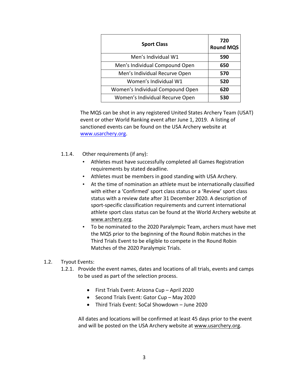| <b>Sport Class</b>               | 720<br><b>Round MQS</b> |
|----------------------------------|-------------------------|
| Men's Individual W1              | 590                     |
| Men's Individual Compound Open   | 650                     |
| Men's Individual Recurve Open    | 570                     |
| Women's Individual W1            | 520                     |
| Women's Individual Compound Open | 620                     |
| Women's Individual Recurve Open  | 530                     |

The MQS can be shot in any registered United States Archery Team (USAT) event or other World Ranking event after June 1, 2019. A listing of sanctioned events can be found on the USA Archery website at [www.usarchery.org.](http://www.usarchery.org/)

- 1.1.4. Other requirements (if any):
	- Athletes must have successfully completed all Games Registration requirements by stated deadline.
	- Athletes must be members in good standing with USA Archery.
	- At the time of nomination an athlete must be internationally classified with either a 'Confirmed' sport class status or a 'Review' sport class status with a review date after 31 December 2020. A description of sport-specific classification requirements and current international athlete sport class status can be found at the World Archery website at [www.archery.org.](http://www.archery.org/)
	- To be nominated to the 2020 Paralympic Team, archers must have met the MQS prior to the beginning of the Round Robin matches in the Third Trials Event to be eligible to compete in the Round Robin Matches of the 2020 Paralympic Trials.

## 1.2. Tryout Events:

- 1.2.1. Provide the event names, dates and locations of all trials, events and camps to be used as part of the selection process.
	- First Trials Event: Arizona Cup April 2020
	- Second Trials Event: Gator Cup May 2020
	- Third Trials Event: SoCal Showdown June 2020

All dates and locations will be confirmed at least 45 days prior to the event and will be posted on the USA Archery website at [www.usarchery.org.](http://www.usarchery.org/)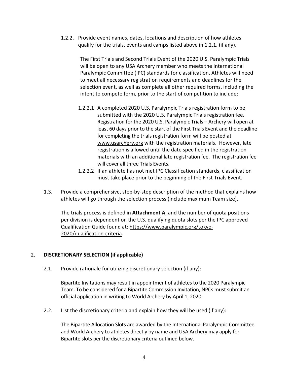1.2.2. Provide event names, dates, locations and description of how athletes qualify for the trials, events and camps listed above in 1.2.1. (if any).

> The First Trials and Second Trials Event of the 2020 U.S. Paralympic Trials will be open to any USA Archery member who meets the International Paralympic Committee (IPC) standards for classification. Athletes will need to meet all necessary registration requirements and deadlines for the selection event, as well as complete all other required forms, including the intent to compete form, prior to the start of competition to include:

- 1.2.2.1 A completed 2020 U.S. Paralympic Trials registration form to be submitted with the 2020 U.S. Paralympic Trials registration fee. Registration for the 2020 U.S. Paralympic Trials – Archery will open at least 60 days prior to the start of the First Trials Event and the deadline for completing the trials registration form will be posted at [www.usarchery.org](http://www.usarchery.org/) with the registration materials. However, late registration is allowed until the date specified in the registration materials with an additional late registration fee. The registration fee will cover all three Trials Events.
- 1.2.2.2 If an athlete has not met IPC Classification standards, classification must take place prior to the beginning of the First Trials Event.
- 1.3. Provide a comprehensive, step-by-step description of the method that explains how athletes will go through the selection process (include maximum Team size).

The trials process is defined in **Attachment A**, and the number of quota positions per division is dependent on the U.S. qualifying quota slots per the IPC approved Qualification Guide found at: [https://www.paralympic.org/tokyo-](https://www.paralympic.org/tokyo-2020/qualification-criteria)[2020/qualification-criteria.](https://www.paralympic.org/tokyo-2020/qualification-criteria)

## 2. **DISCRETIONARY SELECTION (if applicable)**

2.1. Provide rationale for utilizing discretionary selection (if any):

Bipartite Invitations may result in appointment of athletes to the 2020 Paralympic Team. To be considered for a Bipartite Commission Invitation, NPCs must submit an official application in writing to World Archery by April 1, 2020.

2.2. List the discretionary criteria and explain how they will be used (if any):

The Bipartite Allocation Slots are awarded by the International Paralympic Committee and World Archery to athletes directly by name and USA Archery may apply for Bipartite slots per the discretionary criteria outlined below.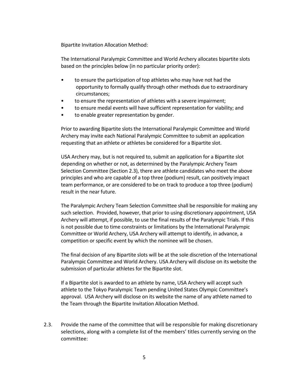Bipartite Invitation Allocation Method:

The International Paralympic Committee and World Archery allocates bipartite slots based on the principles below (in no particular priority order):

- to ensure the participation of top athletes who may have not had the opportunity to formally qualify through other methods due to extraordinary circumstances;
- to ensure the representation of athletes with a severe impairment;
- to ensure medal events will have sufficient representation for viability; and
- to enable greater representation by gender.

Prior to awarding Bipartite slots the International Paralympic Committee and World Archery may invite each National Paralympic Committee to submit an application requesting that an athlete or athletes be considered for a Bipartite slot.

USA Archery may, but is not required to, submit an application for a Bipartite slot depending on whether or not, as determined by the Paralympic Archery Team Selection Committee (Section 2.3), there are athlete candidates who meet the above principles and who are capable of a top three (podium) result, can positively impact team performance, or are considered to be on track to produce a top three (podium) result in the near future.

The Paralympic Archery Team Selection Committee shall be responsible for making any such selection. Provided, however, that prior to using discretionary appointment, USA Archery will attempt, if possible, to use the final results of the Paralympic Trials. If this is not possible due to time constraints or limitations by the International Paralympic Committee or World Archery, USA Archery will attempt to identify, in advance, a competition or specific event by which the nominee will be chosen.

The final decision of any Bipartite slots will be at the sole discretion of the International Paralympic Committee and World Archery. USA Archery will disclose on its website the submission of particular athletes for the Bipartite slot.

If a Bipartite slot is awarded to an athlete by name, USA Archery will accept such athlete to the Tokyo Paralympic Team pending United States Olympic Committee's approval. USA Archery will disclose on its website the name of any athlete named to the Team through the Bipartite Invitation Allocation Method.

2.3. Provide the name of the committee that will be responsible for making discretionary selections, along with a complete list of the members' titles currently serving on the committee: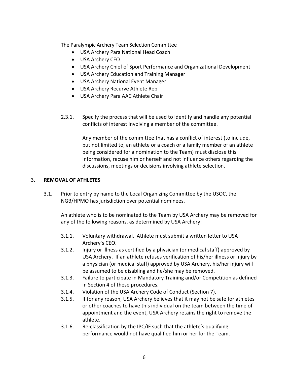The Paralympic Archery Team Selection Committee

- USA Archery Para National Head Coach
- USA Archery CEO
- USA Archery Chief of Sport Performance and Organizational Development
- USA Archery Education and Training Manager
- USA Archery National Event Manager
- USA Archery Recurve Athlete Rep
- USA Archery Para AAC Athlete Chair
- 2.3.1. Specify the process that will be used to identify and handle any potential conflicts of interest involving a member of the committee.

Any member of the committee that has a conflict of interest (to include, but not limited to, an athlete or a coach or a family member of an athlete being considered for a nomination to the Team) must disclose this information, recuse him or herself and not influence others regarding the discussions, meetings or decisions involving athlete selection.

## 3. **REMOVAL OF ATHLETES**

3.1. Prior to entry by name to the Local Organizing Committee by the USOC, the NGB/HPMO has jurisdiction over potential nominees.

An athlete who is to be nominated to the Team by USA Archery may be removed for any of the following reasons, as determined by USA Archery:

- 3.1.1. Voluntary withdrawal. Athlete must submit a written letter to USA Archery's CEO.
- 3.1.2. Injury or illness as certified by a physician (or medical staff) approved by USA Archery. If an athlete refuses verification of his/her illness or injury by a physician (or medical staff) approved by USA Archery, his/her injury will be assumed to be disabling and he/she may be removed.
- 3.1.3. Failure to participate in Mandatory Training and/or Competition as defined in Section 4 of these procedures.
- 3.1.4. Violation of the USA Archery Code of Conduct (Section 7).
- 3.1.5. If for any reason, USA Archery believes that it may not be safe for athletes or other coaches to have this individual on the team between the time of appointment and the event, USA Archery retains the right to remove the athlete.
- 3.1.6. Re-classification by the IPC/IF such that the athlete's qualifying performance would not have qualified him or her for the Team.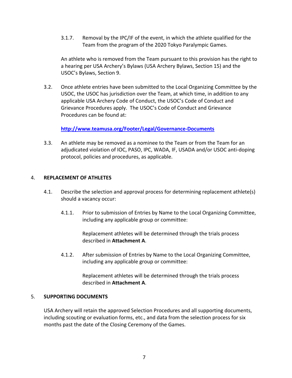3.1.7. Removal by the IPC/IF of the event, in which the athlete qualified for the Team from the program of the 2020 Tokyo Paralympic Games.

An athlete who is removed from the Team pursuant to this provision has the right to a hearing per USA Archery's Bylaws (USA Archery Bylaws, Section 15) and the USOC's Bylaws, Section 9.

3.2. Once athlete entries have been submitted to the Local Organizing Committee by the USOC, the USOC has jurisdiction over the Team, at which time, in addition to any applicable USA Archery Code of Conduct, the USOC's Code of Conduct and Grievance Procedures apply. The USOC's Code of Conduct and Grievance Procedures can be found at:

**<http://www.teamusa.org/Footer/Legal/Governance-Documents>**

3.3. An athlete may be removed as a nominee to the Team or from the Team for an adjudicated violation of IOC, PASO, IPC, WADA, IF, USADA and/or USOC anti-doping protocol, policies and procedures, as applicable.

## 4. **REPLACEMENT OF ATHLETES**

- 4.1. Describe the selection and approval process for determining replacement athlete(s) should a vacancy occur:
	- 4.1.1. Prior to submission of Entries by Name to the Local Organizing Committee, including any applicable group or committee:

Replacement athletes will be determined through the trials process described in **Attachment A**.

4.1.2. After submission of Entries by Name to the Local Organizing Committee, including any applicable group or committee:

> Replacement athletes will be determined through the trials process described in **Attachment A**.

## 5. **SUPPORTING DOCUMENTS**

USA Archery will retain the approved Selection Procedures and all supporting documents, including scouting or evaluation forms, etc., and data from the selection process for six months past the date of the Closing Ceremony of the Games.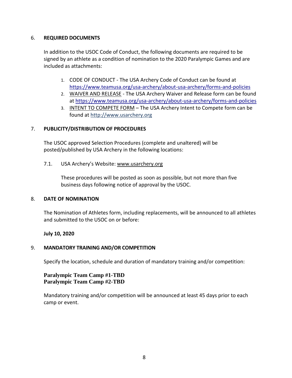## 6. **REQUIRED DOCUMENTS**

In addition to the USOC Code of Conduct, the following documents are required to be signed by an athlete as a condition of nomination to the 2020 Paralympic Games and are included as attachments:

- 1. CODE OF CONDUCT The USA Archery Code of Conduct can be found at <https://www.teamusa.org/usa-archery/about-usa-archery/forms-and-policies>
- 2. WAIVER AND RELEASE The USA Archery Waiver and Release form can be found at <https://www.teamusa.org/usa-archery/about-usa-archery/forms-and-policies>
- 3. INTENT TO COMPETE FORM The USA Archery Intent to Compete form can be found at [http://www.usarchery.org](http://www.usarchery.org/)

## 7. **PUBLICITY/DISTRIBUTION OF PROCEDURES**

The USOC approved Selection Procedures (complete and unaltered) will be posted/published by USA Archery in the following locations:

7.1. USA Archery's Website: [www.usarchery.org](http://www.usarchery.org/)

These procedures will be posted as soon as possible, but not more than five business days following notice of approval by the USOC.

## 8. **DATE OF NOMINATION**

The Nomination of Athletes form, including replacements, will be announced to all athletes and submitted to the USOC on or before:

## **July 10, 2020**

## 9. **MANDATORY TRAINING AND/OR COMPETITION**

Specify the location, schedule and duration of mandatory training and/or competition:

## **Paralympic Team Camp #1-TBD Paralympic Team Camp #2-TBD**

Mandatory training and/or competition will be announced at least 45 days prior to each camp or event.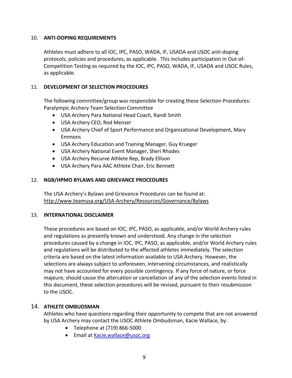## 10. **ANTI-DOPING REQUIREMENTS**

Athletes must adhere to all IOC, IPC, PASO, WADA, IF, USADA and USOC anti-doping protocols, policies and procedures, as applicable. This includes participation in Out-of-Competition Testing as required by the IOC, IPC, PASO, WADA, IF, USADA and USOC Rules, as applicable.

## 11. **DEVELOPMENT OF SELECTION PROCEDURES**

The following committee/group was responsible for creating these Selection Procedures: Paralympic Archery Team Selection Committee

- USA Archery Para National Head Coach, Randi Smith
- USA Archery CEO, Rod Menzer
- USA Archery Chief of Sport Performance and Organizational Development, Mary Emmons
- USA Archery Education and Training Manager, Guy Krueger
- USA Archery National Event Manager, Sheri Rhodes
- USA Archery Recurve Athlete Rep, Brady Ellison
- USA Archery Para AAC Athlete Chair, Eric Bennett

## 12. **NGB/HPMO BYLAWS AND GRIEVANCE PROCEDURES**

The USA Archery's Bylaws and Grievance Procedures can be found at: <http://www.teamusa.org/USA-Archery/Resources/Governance/Bylaws>

## 13. **INTERNATIONAL DISCLAIMER**

These procedures are based on IOC, IPC, PASO, as applicable, and/or World Archery rules and regulations as presently known and understood. Any change in the selection procedures caused by a change in IOC, IPC, PASO, as applicable, and/or World Archery rules and regulations will be distributed to the affected athletes immediately. The selection criteria are based on the latest information available to USA Archery. However, the selections are always subject to unforeseen, intervening circumstances, and realistically may not have accounted for every possible contingency. If any force of nature, or force majeure, should cause the altercation or cancellation of any of the selection events listed in this document, these selection procedures will be revised, pursuant to their resubmission to the USOC.

## 14. **ATHLETE OMBUDSMAN**

Athletes who have questions regarding their opportunity to compete that are not answered by USA Archery may contact the USOC Athlete Ombudsman, Kacie Wallace, by:

- Telephone at (719) 866-5000
- Email at [Kacie.wallace@usoc.org](mailto:Kacie.wallace@usoc.org)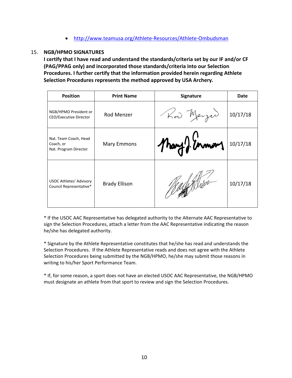## • <http://www.teamusa.org/Athlete-Resources/Athlete-Ombudsman>

## 15. **NGB/HPMO SIGNATURES**

**I certify that I have read and understand the standards/criteria set by our IF and/or CF (PAG/PPAG only) and incorporated those standards/criteria into our Selection Procedures. I further certify that the information provided herein regarding Athlete Selection Procedures represents the method approved by USA Archery.**

| <b>Position</b>                                             | <b>Print Name</b>    | Signature     | <b>Date</b> |
|-------------------------------------------------------------|----------------------|---------------|-------------|
| NGB/HPMO President or<br>CEO/Executive Director             | Rod Menzer           | Kod Merzer    | 10/17/18    |
| Nat. Team Coach, Head<br>Coach, or<br>Nat. Program Director | <b>Mary Emmons</b>   | Mary ) inmors | 10/17/18    |
| <b>USOC Athletes' Advisory</b><br>Council Representative*   | <b>Brady Ellison</b> |               | 10/17/18    |

\* If the USOC AAC Representative has delegated authority to the Alternate AAC Representative to sign the Selection Procedures, attach a letter from the AAC Representative indicating the reason he/she has delegated authority.

\* Signature by the Athlete Representative constitutes that he/she has read and understands the Selection Procedures. If the Athlete Representative reads and does not agree with the Athlete Selection Procedures being submitted by the NGB/HPMO, he/she may submit those reasons in writing to his/her Sport Performance Team.

\* If, for some reason, a sport does not have an elected USOC AAC Representative, the NGB/HPMO must designate an athlete from that sport to review and sign the Selection Procedures.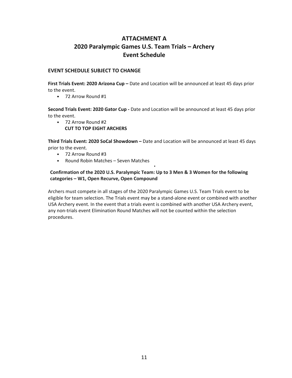## **ATTACHMENT A 2020 Paralympic Games U.S. Team Trials – Archery Event Schedule**

#### **EVENT SCHEDULE SUBJECT TO CHANGE**

**First Trials Event: 2020 Arizona Cup –** Date and Location will be announced at least 45 days prior to the event.

• 72 Arrow Round #1

**Second Trials Event: 2020 Gator Cup -** Date and Location will be announced at least 45 days prior to the event.

• 72 Arrow Round #2 **CUT TO TOP EIGHT ARCHERS**

**Third Trials Event: 2020 SoCal Showdown –** Date and Location will be announced at least 45 days prior to the event.

•

- 72 Arrow Round #3
- Round Robin Matches Seven Matches

## **Confirmation of the 2020 U.S. Paralympic Team: Up to 3 Men & 3 Women for the following categories – W1, Open Recurve, Open Compound**

Archers must compete in all stages of the 2020 Paralympic Games U.S. Team Trials event to be eligible for team selection. The Trials event may be a stand-alone event or combined with another USA Archery event. In the event that a trials event is combined with another USA Archery event, any non-trials event Elimination Round Matches will not be counted within the selection procedures.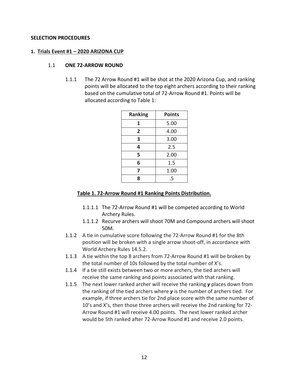## **SELECTION PROCEDURES**

#### **1. Trials Event #1 – 2020 ARIZONA CUP**

### 1.1 **ONE 72-ARROW ROUND**

1.1.1 The 72 Arrow Round #1 will be shot at the 2020 Arizona Cup, and ranking points will be allocated to the top eight archers according to their ranking based on the cumulative total of 72-Arrow Round #1. Points will be allocated according to Table 1:

| <b>Ranking</b>          | <b>Points</b> |
|-------------------------|---------------|
| 1                       | 5.00          |
| $\overline{\mathbf{2}}$ | 4.00          |
| 3                       | 3.00          |
| 4                       | 2.5           |
| 5                       | 2.00          |
| 6                       | 1.5           |
| 7                       | 1.00          |
| 8                       | .5            |

## **Table 1. 72-Arrow Round #1 Ranking Points Distribution.**

- 1.1.1.1 The 72-Arrow Round #1 will be competed according to World Archery Rules.
- 1.1.1.2 Recurve archers will shoot 70M and Compound archers will shoot 50M.
- 1.1.2 A tie in cumulative score following the 72-Arrow Round #1 for the 8th position will be broken with a single arrow shoot-off, in accordance with World Archery Rules 14.5.2.
- 1.1.3 A tie within the top 8 archers from 72-Arrow Round #1 will be broken by the total number of 10s followed by the total number of X's.
- 1.1.4 If a tie still exists between two or more archers, the tied archers will receive the same ranking and points associated with that ranking.
- 1.1.5 The next lower ranked archer will receive the ranking *y* places down from the ranking of the tied archers where *y* is the number of archers tied. For example, if three archers tie for 2nd place score with the same number of 10's and X's, then those three archers will receive the 2nd ranking for 72- Arrow Round #1 will receive 4.00 points. The next lower ranked archer would be 5th ranked after 72-Arrow Round #1 and receive 2.0 points.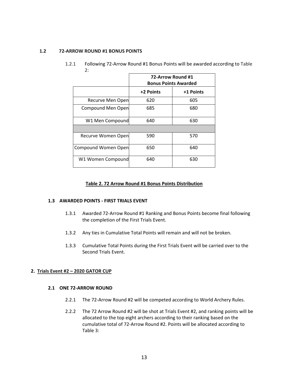#### **1.2 72-ARROW ROUND #1 BONUS POINTS**

| z.                  |                                                  |           |
|---------------------|--------------------------------------------------|-----------|
|                     | 72-Arrow Round #1<br><b>Bonus Points Awarded</b> |           |
|                     | +2 Points                                        | +1 Points |
| Recurve Men Open    | 620                                              | 605       |
| Compound Men Open   | 685                                              | 680       |
| W1 Men Compound     | 640                                              | 630       |
|                     |                                                  |           |
| Recurve Women Open  | 590                                              | 570       |
| Compound Women Open | 650                                              | 640       |
| W1 Women Compound   | 640                                              | 630       |

1.2.1 Following 72-Arrow Round #1 Bonus Points will be awarded according to Table  $\sim$ 

#### **Table 2. 72 Arrow Round #1 Bonus Points Distribution**

#### **1.3 AWARDED POINTS - FIRST TRIALS EVENT**

- 1.3.1 Awarded 72-Arrow Round #1 Ranking and Bonus Points become final following the completion of the First Trials Event.
- 1.3.2 Any ties in Cumulative Total Points will remain and will not be broken.
- 1.3.3 Cumulative Total Points during the First Trials Event will be carried over to the Second Trials Event.

#### **2. Trials Event #2 – 2020 GATOR CUP**

#### **2.1 ONE 72-ARROW ROUND**

- 2.2.1 The 72-Arrow Round #2 will be competed according to World Archery Rules.
- 2.2.2 The 72 Arrow Round #2 will be shot at Trials Event #2, and ranking points will be allocated to the top eight archers according to their ranking based on the cumulative total of 72-Arrow Round #2. Points will be allocated according to Table 3: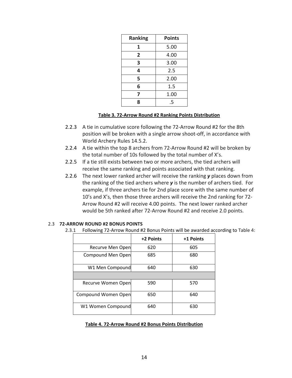| <b>Ranking</b>          | <b>Points</b> |
|-------------------------|---------------|
| 1                       | 5.00          |
| $\overline{\mathbf{2}}$ | 4.00          |
| 3                       | 3.00          |
| 4                       | 2.5           |
| 5                       | 2.00          |
| 6                       | 1.5           |
| 7                       | 1.00          |
| 8                       | .5            |

#### **Table 3. 72-Arrow Round #2 Ranking Points Distribution**

- 2.2.3 A tie in cumulative score following the 72-Arrow Round #2 for the 8th position will be broken with a single arrow shoot-off, in accordance with World Archery Rules 14.5.2.
- 2.2.4 A tie within the top 8 archers from 72-Arrow Round #2 will be broken by the total number of 10s followed by the total number of X's.
- 2.2.5 If a tie still exists between two or more archers, the tied archers will receive the same ranking and points associated with that ranking.
- 2.2.6 The next lower ranked archer will receive the ranking *y* places down from the ranking of the tied archers where *y* is the number of archers tied. For example, if three archers tie for 2nd place score with the same number of 10's and X's, then those three archers will receive the 2nd ranking for 72- Arrow Round #2 will receive 4.00 points. The next lower ranked archer would be 5th ranked after 72-Arrow Round #2 and receive 2.0 points.

| 3. L<br>Following 72-Arrow Round #2 Bonus Points will be awarded acc |           |           |
|----------------------------------------------------------------------|-----------|-----------|
|                                                                      | +2 Points | +1 Points |
| Recurve Men Open                                                     | 620       | 605       |
| Compound Men Open                                                    | 685       | 680       |
| W1 Men Compound                                                      | 640       | 630       |
|                                                                      |           |           |
| Recurve Women Open                                                   | 590       | 570       |
| Compound Women Open                                                  | 650       | 640       |
| W1 Women Compound                                                    | 640       | 630       |

## 2.3 **72-ARROW ROUND #2 BONUS POINTS**

## 2.3.1 Following 72-Arrow Round #2 Bonus Points will be awarded according to Table 4:

## **Table 4. 72-Arrow Round #2 Bonus Points Distribution**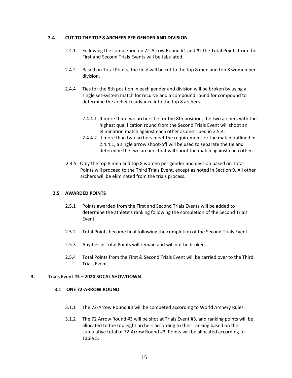#### **2.4 CUT TO THE TOP 8 ARCHERS PER GENDER AND DIVISION**

- 2.4.1 Following the completion on 72-Arrow Round #1 and #2 the Total Points from the First and Second Trials Events will be tabulated.
- 2.4.2 Based on Total Points, the field will be cut to the top 8 men and top 8 women per division.
- 2.4.4 Ties for the 8th position in each gender and division will be broken by using a single set-system match for recurve and a compound round for compound to determine the archer to advance into the top 8 archers.
	- 2.4.4.1 If more than two archers tie for the 8th position, the two archers with the highest qualification round from the Second Trials Event will shoot an elimination match against each other as described in 2.5.4.
	- 2.4.4.2 If more than two archers meet the requirement for the match outlined in 2.4.4.1, a single arrow shoot-off will be used to separate the tie and determine the two archers that will shoot the match against each other.
- 2.4.5 Only the top 8 men and top 8 women per gender and division based on Total Points will proceed to the Third Trials Event, except as noted in Section 9. All other archers will be eliminated from the trials process.

#### **2.5 AWARDED POINTS**

- 2.5.1 Points awarded from the First and Second Trials Events will be added to determine the athlete's ranking following the completion of the Second Trials Event.
- 2.5.2 Total Points become final following the completion of the Second Trials Event.
- 2.5.3 Any ties in Total Points will remain and will not be broken.
- 2.5.4 Total Points from the First & Second Trials Event will be carried over to the Third Trials Event.

#### **3. Trials Event #3 – 2020 SOCAL SHOWDOWN**

#### **3.1 ONE 72-ARROW ROUND**

- 3.1.1 The 72-Arrow Round #3 will be competed according to World Archery Rules.
- 3.1.2 The 72 Arrow Round #3 will be shot at Trials Event #3, and ranking points will be allocated to the top eight archers according to their ranking based on the cumulative total of 72-Arrow Round #3. Points will be allocated according to Table 5: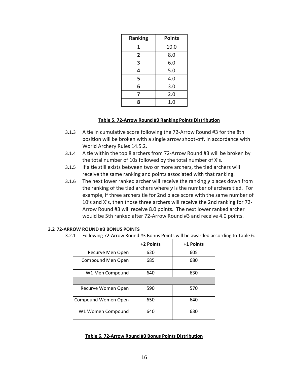| <b>Ranking</b>          | <b>Points</b> |
|-------------------------|---------------|
| 1                       | 10.0          |
| $\overline{\mathbf{2}}$ | 8.0           |
| 3                       | 6.0           |
| 4                       | 5.0           |
| 5                       | 4.0           |
| 6                       | 3.0           |
| 7                       | 2.0           |
| ጸ                       | 1.0           |

#### **Table 5. 72-Arrow Round #3 Ranking Points Distribution**

- 3.1.3 A tie in cumulative score following the 72-Arrow Round #3 for the 8th position will be broken with a single arrow shoot-off, in accordance with World Archery Rules 14.5.2.
- 3.1.4 A tie within the top 8 archers from 72-Arrow Round #3 will be broken by the total number of 10s followed by the total number of X's.
- 3.1.5 If a tie still exists between two or more archers, the tied archers will receive the same ranking and points associated with that ranking.
- 3.1.6 The next lower ranked archer will receive the ranking *y* places down from the ranking of the tied archers where *y* is the number of archers tied. For example, if three archers tie for 2nd place score with the same number of 10's and X's, then those three archers will receive the 2nd ranking for 72- Arrow Round #3 will receive 8.0 points. The next lower ranked archer would be 5th ranked after 72-Arrow Round #3 and receive 4.0 points.

#### **3.2 72-ARROW ROUND #3 BONUS POINTS**

3.2.1 Following 72-Arrow Round #3 Bonus Points will be awarded according to Table 6:

|                     | +2 Points | +1 Points |
|---------------------|-----------|-----------|
| Recurve Men Open    | 620       | 605       |
| Compound Men Open   | 685       | 680       |
| W1 Men Compound     | 640       | 630       |
|                     |           |           |
| Recurve Women Open  | 590       | 570       |
| Compound Women Open | 650       | 640       |
| W1 Women Compound   | 640       | 630       |

#### **Table 6. 72-Arrow Round #3 Bonus Points Distribution**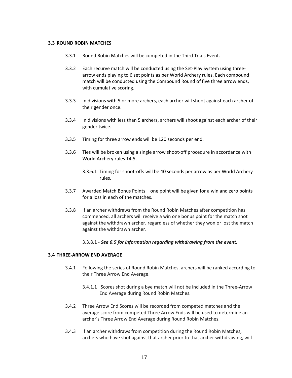#### . **3.3 ROUND ROBIN MATCHES**

- 3.3.1 Round Robin Matches will be competed in the Third Trials Event.
- 3.3.2 Each recurve match will be conducted using the Set-Play System using threearrow ends playing to 6 set points as per World Archery rules. Each compound match will be conducted using the Compound Round of five three arrow ends, with cumulative scoring.
- 3.3.3 In divisions with 5 or more archers, each archer will shoot against each archer of their gender once.
- 3.3.4 In divisions with less than 5 archers, archers will shoot against each archer of their gender twice.
- 3.3.5 Timing for three arrow ends will be 120 seconds per end.
- 3.3.6 Ties will be broken using a single arrow shoot-off procedure in accordance with World Archery rules 14.5.
	- 3.3.6.1 Timing for shoot-offs will be 40 seconds per arrow as per World Archery rules.
- 3.3.7 Awarded Match Bonus Points one point will be given for a win and zero points for a loss in each of the matches.
- 3.3.8 If an archer withdraws from the Round Robin Matches after competition has commenced, all archers will receive a win one bonus point for the match shot against the withdrawn archer, regardless of whether they won or lost the match against the withdrawn archer.

#### 3.3.8.1 - *See 6.5 for information regarding withdrawing from the event.*

#### **3.4 THREE-ARROW END AVERAGE**

- 3.4.1 Following the series of Round Robin Matches, archers will be ranked according to their Three Arrow End Average.
	- 3.4.1.1 Scores shot during a bye match will not be included in the Three-Arrow End Average during Round Robin Matches.
- 3.4.2 Three Arrow End Scores will be recorded from competed matches and the average score from competed Three Arrow Ends will be used to determine an archer's Three Arrow End Average during Round Robin Matches.
- 3.4.3 If an archer withdraws from competition during the Round Robin Matches, archers who have shot against that archer prior to that archer withdrawing, will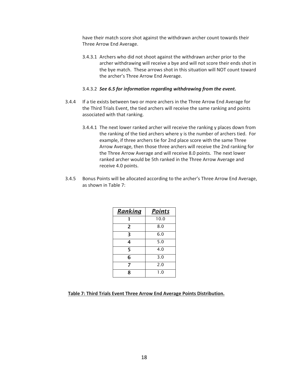have their match score shot against the withdrawn archer count towards their Three Arrow End Average.

3.4.3.1 Archers who did not shoot against the withdrawn archer prior to the archer withdrawing will receive a bye and will not score their ends shot in the bye match. These arrows shot in this situation will NOT count toward the archer's Three Arrow End Average.

#### 3.4.3.2 *See 6.5 for information regarding withdrawing from the event.*

- 3.4.4 If a tie exists between two or more archers in the Three Arrow End Average for the Third Trials Event, the tied archers will receive the same ranking and points associated with that ranking.
	- 3.4.4.1 The next lower ranked archer will receive the ranking y places down from the ranking of the tied archers where y is the number of archers tied. For example, if three archers tie for 2nd place score with the same Three Arrow Average, then those three archers will receive the 2nd ranking for the Three Arrow Average and will receive 8.0 points. The next lower ranked archer would be 5th ranked in the Three Arrow Average and receive 4.0 points.
- 3.4.5 Bonus Points will be allocated according to the archer's Three Arrow End Average, as shown in Table 7:

| <u>Ranking</u> | <b>Points</b> |
|----------------|---------------|
|                | 10.0          |
| $\overline{2}$ | 8.0           |
| 3              | 6.0           |
| 4              | 5.0           |
| 5              | 4.0           |
| 6              | 3.0           |
| 7              | 2.0           |
| 8              | 1.0           |

#### **Table 7: Third Trials Event Three Arrow End Average Points Distribution.**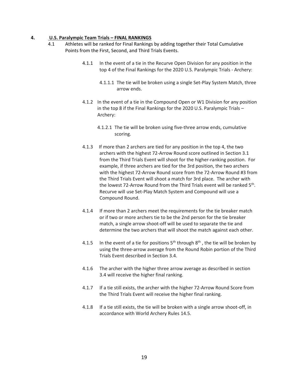#### **4. U.S. Paralympic Team Trials – FINAL RANKINGS**

- 4.1 Athletes will be ranked for Final Rankings by adding together their Total Cumulative Points from the First, Second, and Third Trials Events.
	- 4.1.1 In the event of a tie in the Recurve Open Division for any position in the top 4 of the Final Rankings for the 2020 U.S. Paralympic Trials - Archery:
		- 4.1.1.1 The tie will be broken using a single Set-Play System Match, three arrow ends.
	- 4.1.2 In the event of a tie in the Compound Open or W1 Division for any position in the top 8 if the Final Rankings for the 2020 U.S. Paralympic Trials – Archery:
		- 4.1.2.1 The tie will be broken using five-three arrow ends, cumulative scoring.
	- 4.1.3 If more than 2 archers are tied for any position in the top 4, the two archers with the highest 72-Arrow Round score outlined in Section 3.1 from the Third Trials Event will shoot for the higher-ranking position. For example, if three archers are tied for the 3rd position, the two archers with the highest 72-Arrow Round score from the 72-Arrow Round #3 from the Third Trials Event will shoot a match for 3rd place. The archer with the lowest 72-Arrow Round from the Third Trials event will be ranked 5<sup>th</sup>. Recurve will use Set-Play Match System and Compound will use a Compound Round.
	- 4.1.4 If more than 2 archers meet the requirements for the tie breaker match or if two or more archers tie to be the 2nd person for the tie breaker match, a single arrow shoot-off will be used to separate the tie and determine the two archers that will shoot the match against each other.
	- 4.1.5 In the event of a tie for positions  $5<sup>th</sup>$  through  $8<sup>th</sup>$ , the tie will be broken by using the three-arrow average from the Round Robin portion of the Third Trials Event described in Section 3.4.
	- 4.1.6 The archer with the higher three arrow average as described in section 3.4 will receive the higher final ranking.
	- 4.1.7 If a tie still exists, the archer with the higher 72-Arrow Round Score from the Third Trials Event will receive the higher final ranking.
	- 4.1.8 If a tie still exists, the tie will be broken with a single arrow shoot-off, in accordance with World Archery Rules 14.5.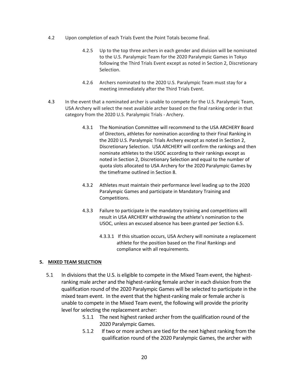- 4.2 Upon completion of each Trials Event the Point Totals become final.
	- 4.2.5 Up to the top three archers in each gender and division will be nominated to the U.S. Paralympic Team for the 2020 Paralympic Games in Tokyo following the Third Trials Event except as noted in Section 2, Discretionary Selection.
	- 4.2.6 Archers nominated to the 2020 U.S. Paralympic Team must stay for a meeting immediately after the Third Trials Event.
- 4.3 In the event that a nominated archer is unable to compete for the U.S. Paralympic Team, USA Archery will select the next available archer based on the final ranking order in that category from the 2020 U.S. Paralympic Trials - Archery.
	- 4.3.1 The Nomination Committee will recommend to the USA ARCHERY Board of Directors, athletes for nomination according to their Final Ranking in the 2020 U.S. Paralympic Trials Archery except as noted in Section 2, Discretionary Selection. USA ARCHERY will confirm the rankings and then nominate athletes to the USOC according to their rankings except as noted in Section 2, Discretionary Selection and equal to the number of quota slots allocated to USA Archery for the 2020 Paralympic Games by the timeframe outlined in Section 8.
	- 4.3.2 Athletes must maintain their performance level leading up to the 2020 Paralympic Games and participate in Mandatory Training and Competitions.
	- 4.3.3 Failure to participate in the mandatory training and competitions will result in USA ARCHERY withdrawing the athlete's nomination to the USOC, unless an excused absence has been granted per Section 6.5.
		- 4.3.3.1 If this situation occurs, USA Archery will nominate a replacement athlete for the position based on the Final Rankings and compliance with all requirements.

## **5. MIXED TEAM SELECTION**

- 5.1 In divisions that the U.S. is eligible to compete in the Mixed Team event, the highestranking male archer and the highest-ranking female archer in each division from the qualification round of the 2020 Paralympic Games will be selected to participate in the mixed team event. In the event that the highest-ranking male or female archer is unable to compete in the Mixed Team event, the following will provide the priority level for selecting the replacement archer:
	- 5.1.1 The next highest ranked archer from the qualification round of the 2020 Paralympic Games.
	- 5.1.2 If two or more archers are tied for the next highest ranking from the qualification round of the 2020 Paralympic Games, the archer with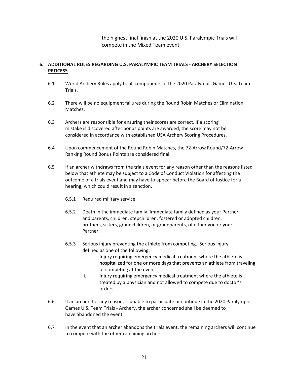the highest final finish at the 2020 U.S. Paralympic Trials will compete in the Mixed Team event.

## **6. ADDITIONAL RULES REGARDING U.S. PARALYMPIC TEAM TRIALS - ARCHERY SELECTION PROCESS**

- 6.1 World Archery Rules apply to all components of the 2020 Paralympic Games U.S. Team Trials.
- 6.2 There will be no equipment failures during the Round Robin Matches or Elimination Matches.
- 6.3 Archers are responsible for ensuring their scores are correct. If a scoring mistake is discovered after bonus points are awarded, the score may not be considered in accordance with established USA Archery Scoring Procedures.
- 6.4 Upon commencement of the Round Robin Matches, the 72-Arrow Round/72-Arrow Ranking Round Bonus Points are considered final.
- 6.5 If an archer withdraws from the trials event for any reason other than the reasons listed below that athlete may be subject to a Code of Conduct Violation for affecting the outcome of a trials event and may have to appear before the Board of Justice for a hearing, which could result in a sanction.
	- 6.5.1 Required military service.
	- 6.5.2 Death in the immediate family. Immediate family defined as your Partner and parents, children, stepchildren, fostered or adopted children, brothers, sisters, grandchildren, or grandparents, of either you or your Partner.
	- 6.5.3 Serious injury preventing the athlete from competing. Serious injury defined as one of the following:
		- i. Injury requiring emergency medical treatment where the athlete is hospitalized for one or more days that prevents an athlete from traveling or competing at the event.
		- Ii. Injury requiring emergency medical treatment where the athlete is treated by a physician and not allowed to compete due to doctor's orders.
- 6.6 If an archer, for any reason, is unable to participate or continue in the 2020 Paralympic Games U.S. Team Trials - Archery, the archer concerned shall be deemed to have abandoned the event.
- 6.7 In the event that an archer abandons the trials event, the remaining archers will continue to compete with the other remaining archers.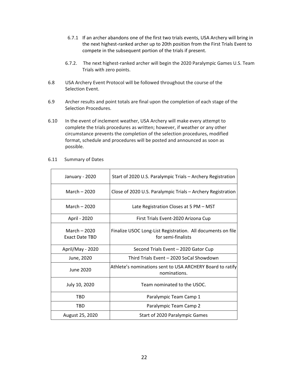- 6.7.1 If an archer abandons one of the first two trials events, USA Archery will bring in the next highest-ranked archer up to 20th position from the First Trials Event to compete in the subsequent portion of the trials if present.
- 6.7.2. The next highest-ranked archer will begin the 2020 Paralympic Games U.S. Team Trials with zero points.
- 6.8 USA Archery Event Protocol will be followed throughout the course of the Selection Event.
- 6.9 Archer results and point totals are final upon the completion of each stage of the Selection Procedures.
- 6.10 In the event of inclement weather, USA Archery will make every attempt to complete the trials procedures as written; however, if weather or any other circumstance prevents the completion of the selection procedures, modified format, schedule and procedures will be posted and announced as soon as possible.

| January - 2020                         | Start of 2020 U.S. Paralympic Trials - Archery Registration                       |
|----------------------------------------|-----------------------------------------------------------------------------------|
| March $-2020$                          | Close of 2020 U.S. Paralympic Trials – Archery Registration                       |
| March $-2020$                          | Late Registration Closes at 5 PM - MST                                            |
| April - 2020                           | First Trials Event-2020 Arizona Cup                                               |
| March $-2020$<br><b>Exact Date TBD</b> | Finalize USOC Long-List Registration. All documents on file<br>for semi-finalists |
| April/May - 2020                       | Second Trials Event - 2020 Gator Cup                                              |
| June, 2020                             | Third Trials Event - 2020 SoCal Showdown                                          |
| June 2020                              | Athlete's nominations sent to USA ARCHERY Board to ratify<br>nominations.         |
| July 10, 2020                          | Team nominated to the USOC.                                                       |
|                                        |                                                                                   |
| TBD                                    | Paralympic Team Camp 1                                                            |
| TBD                                    | Paralympic Team Camp 2                                                            |

6.11 Summary of Dates